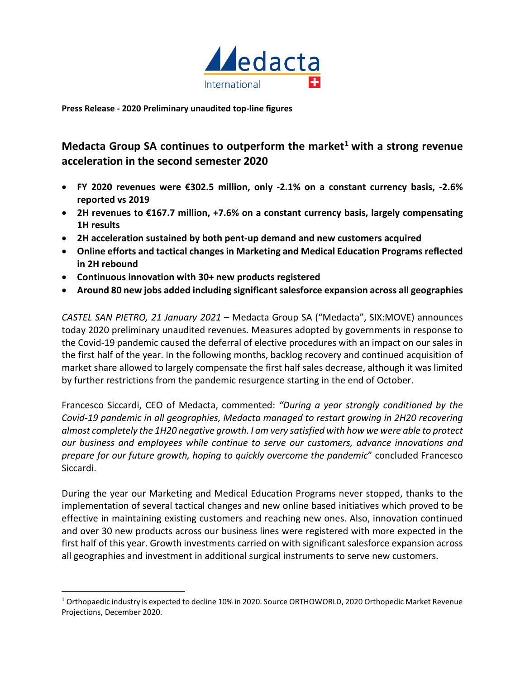

**Press Release - 2020 Preliminary unaudited top-line figures** 

# **Medacta Group SA continues to outperform the market[1](#page-0-0) with a strong revenue acceleration in the second semester 2020**

- **FY 2020 revenues were €302.5 million, only -2.1% on a constant currency basis, -2.6% reported vs 2019**
- **2H revenues to €167.7 million, +7.6% on a constant currency basis, largely compensating 1H results**
- **2H acceleration sustained by both pent-up demand and new customers acquired**
- **Online efforts and tactical changes in Marketing and Medical Education Programs reflected in 2H rebound**
- **Continuous innovation with 30+ new products registered**
- **Around 80 new jobs added including significant salesforce expansion across all geographies**

*CASTEL SAN PIETRO, 21 January 2021* – Medacta Group SA ("Medacta", SIX:MOVE) announces today 2020 preliminary unaudited revenues. Measures adopted by governments in response to the Covid-19 pandemic caused the deferral of elective procedures with an impact on our sales in the first half of the year. In the following months, backlog recovery and continued acquisition of market share allowed to largely compensate the first half sales decrease, although it was limited by further restrictions from the pandemic resurgence starting in the end of October.

Francesco Siccardi, CEO of Medacta, commented: *"During a year strongly conditioned by the Covid-19 pandemic in all geographies, Medacta managed to restart growing in 2H20 recovering almost completely the 1H20 negative growth. I am very satisfied with how we were able to protect our business and employees while continue to serve our customers, advance innovations and prepare for our future growth, hoping to quickly overcome the pandemic*" concluded Francesco Siccardi.

During the year our Marketing and Medical Education Programs never stopped, thanks to the implementation of several tactical changes and new online based initiatives which proved to be effective in maintaining existing customers and reaching new ones. Also, innovation continued and over 30 new products across our business lines were registered with more expected in the first half of this year. Growth investments carried on with significant salesforce expansion across all geographies and investment in additional surgical instruments to serve new customers.

<span id="page-0-0"></span><sup>1</sup> Orthopaedic industry is expected to decline 10% in 2020. Source ORTHOWORLD, 2020 Orthopedic Market Revenue Projections, December 2020.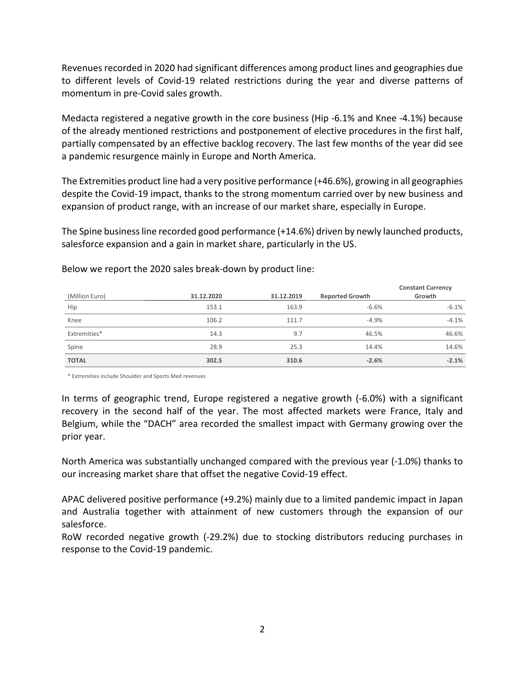Revenues recorded in 2020 had significant differences among product lines and geographies due to different levels of Covid-19 related restrictions during the year and diverse patterns of momentum in pre-Covid sales growth.

Medacta registered a negative growth in the core business (Hip -6.1% and Knee -4.1%) because of the already mentioned restrictions and postponement of elective procedures in the first half, partially compensated by an effective backlog recovery. The last few months of the year did see a pandemic resurgence mainly in Europe and North America.

The Extremities product line had a very positive performance (+46.6%), growing in all geographies despite the Covid-19 impact, thanks to the strong momentum carried over by new business and expansion of product range, with an increase of our market share, especially in Europe.

The Spine businessline recorded good performance (+14.6%) driven by newly launched products, salesforce expansion and a gain in market share, particularly in the US.

| (Million Euro) | 31.12.2020 | 31.12.2019 | <b>Reported Growth</b> | <b>Constant Currency</b><br>Growth |
|----------------|------------|------------|------------------------|------------------------------------|
| Hip            | 153.1      | 163.9      | $-6.6%$                | $-6.1%$                            |
| Knee           | 106.2      | 111.7      | $-4.9%$                | $-4.1%$                            |
| Extremities*   | 14.3       | 9.7        | 46.5%                  | 46.6%                              |
| Spine          | 28.9       | 25.3       | 14.4%                  | 14.6%                              |
| <b>TOTAL</b>   | 302.5      | 310.6      | $-2.6%$                | $-2.1%$                            |

Below we report the 2020 sales break-down by product line:

\* Extremities include Shoulder and Sports Med revenues

In terms of geographic trend, Europe registered a negative growth (-6.0%) with a significant recovery in the second half of the year. The most affected markets were France, Italy and Belgium, while the "DACH" area recorded the smallest impact with Germany growing over the prior year.

North America was substantially unchanged compared with the previous year (-1.0%) thanks to our increasing market share that offset the negative Covid-19 effect.

APAC delivered positive performance (+9.2%) mainly due to a limited pandemic impact in Japan and Australia together with attainment of new customers through the expansion of our salesforce.

RoW recorded negative growth (-29.2%) due to stocking distributors reducing purchases in response to the Covid-19 pandemic.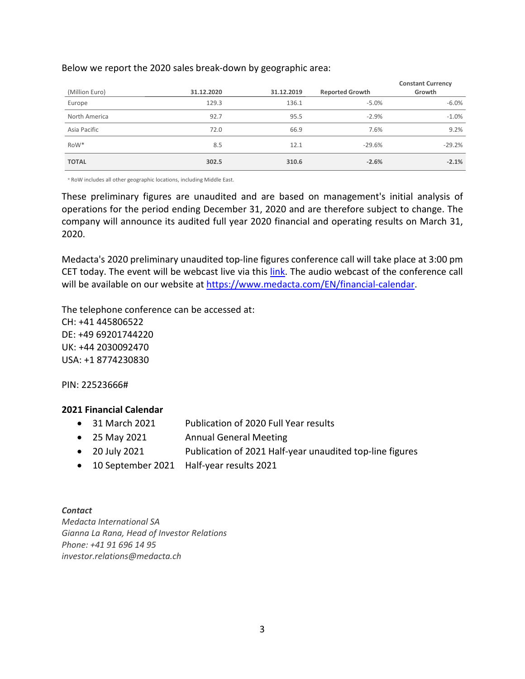# Below we report the 2020 sales break-down by geographic area:

| (Million Euro)   | 31.12.2020 | 31.12.2019 | <b>Reported Growth</b> | <b>Constant Currency</b><br>Growth |
|------------------|------------|------------|------------------------|------------------------------------|
| Europe           | 129.3      | 136.1      | $-5.0%$                | $-6.0%$                            |
| North America    | 92.7       | 95.5       | $-2.9%$                | $-1.0%$                            |
| Asia Pacific     | 72.0       | 66.9       | 7.6%                   | 9.2%                               |
| RoW <sup>*</sup> | 8.5        | 12.1       | $-29.6%$               | $-29.2%$                           |
| <b>TOTAL</b>     | 302.5      | 310.6      | $-2.6%$                | $-2.1%$                            |

\* RoW includes all other geographic locations, including Middle East.

These preliminary figures are unaudited and are based on management's initial analysis of operations for the period ending December 31, 2020 and are therefore subject to change. The company will announce its audited full year 2020 financial and operating results on March 31, 2020.

Medacta's 2020 preliminary unaudited top-line figures conference call will take place at 3:00 pm CET today. The event will be webcast live via this [link.](https://linkprotect.cudasvc.com/url?a=https%3a%2f%2fwww.webcast-eqs.com%2fmedacta20210121&c=E,1,IuWDTWNQA6ocak23B-QfLYyxS0-YmjCrZLS_5R5cr9Q_jj7KQrxda02yXab_9zz9ByvYymIJ6h0uWWRKvaUXOUY4kVHlS6EZv9wSRs39&typo=1) The audio webcast of the conference call will be available on our website at [https://www.medacta.com/EN/financial-calendar.](https://www.medacta.com/EN/financial-calendar)

The telephone conference can be accessed at: CH: +41 445806522 DE: +49 69201744220 UK: +44 2030092470 USA: +1 8774230830

PIN: 22523666#

## **2021 Financial Calendar**

- 31 March 2021 Publication of 2020 Full Year results
- 25 May 2021 Annual General Meeting
- 20 July 2021 Publication of 2021 Half-year unaudited top-line figures
- 10 September 2021 Half-year results 2021

# *Contact*

*Medacta International SA Gianna La Rana, Head of Investor Relations Phone: +41 91 696 14 95 investor.relations@medacta.ch*